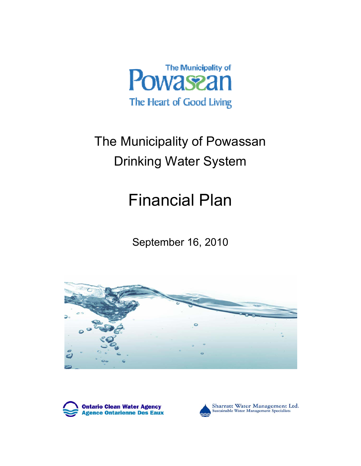

# The Municipality of Powassan Drinking Water System

# Financial Plan

September 16, 2010







Sharratt Water Management Ltd.<br>Sustainable Water Management Specialists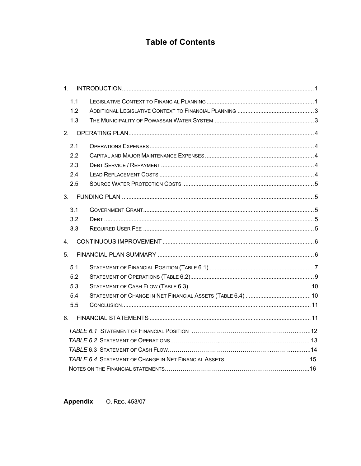## **Table of Contents**

| 1 <sub>1</sub> |  |
|----------------|--|
| 1.1            |  |
| 1.2            |  |
| 1.3            |  |
| 2.             |  |
| 2.1            |  |
| 2.2            |  |
| 2.3            |  |
| 2.4            |  |
| 2.5            |  |
| 3.             |  |
| 3.1            |  |
| 3.2            |  |
| 3.3            |  |
| 4.             |  |
| 5.             |  |
| 5.1            |  |
| 5.2            |  |
| 5.3            |  |
| 5.4            |  |
| 5.5            |  |
| 6.             |  |
|                |  |
|                |  |
|                |  |
|                |  |
|                |  |

Appendix O. REG. 453/07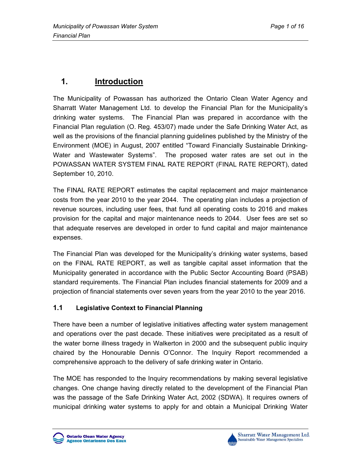# **1. Introduction**

The Municipality of Powassan has authorized the Ontario Clean Water Agency and Sharratt Water Management Ltd. to develop the Financial Plan for the Municipality's drinking water systems. The Financial Plan was prepared in accordance with the Financial Plan regulation (O. Reg. 453/07) made under the Safe Drinking Water Act, as well as the provisions of the financial planning guidelines published by the Ministry of the Environment (MOE) in August, 2007 entitled "Toward Financially Sustainable Drinking-Water and Wastewater Systems". The proposed water rates are set out in the POWASSAN WATER SYSTEM FINAL RATE REPORT (FINAL RATE REPORT), dated September 10, 2010.

The FINAL RATE REPORT estimates the capital replacement and major maintenance costs from the year 2010 to the year 2044. The operating plan includes a projection of revenue sources, including user fees, that fund all operating costs to 2016 and makes provision for the capital and major maintenance needs to 2044. User fees are set so that adequate reserves are developed in order to fund capital and major maintenance expenses.

The Financial Plan was developed for the Municipality's drinking water systems, based on the FINAL RATE REPORT, as well as tangible capital asset information that the Municipality generated in accordance with the Public Sector Accounting Board (PSAB) standard requirements. The Financial Plan includes financial statements for 2009 and a projection of financial statements over seven years from the year 2010 to the year 2016.

## **1.1 Legislative Context to Financial Planning**

There have been a number of legislative initiatives affecting water system management and operations over the past decade. These initiatives were precipitated as a result of the water borne illness tragedy in Walkerton in 2000 and the subsequent public inquiry chaired by the Honourable Dennis O'Connor. The Inquiry Report recommended a comprehensive approach to the delivery of safe drinking water in Ontario.

The MOE has responded to the Inquiry recommendations by making several legislative changes. One change having directly related to the development of the Financial Plan was the passage of the Safe Drinking Water Act, 2002 (SDWA). It requires owners of municipal drinking water systems to apply for and obtain a Municipal Drinking Water

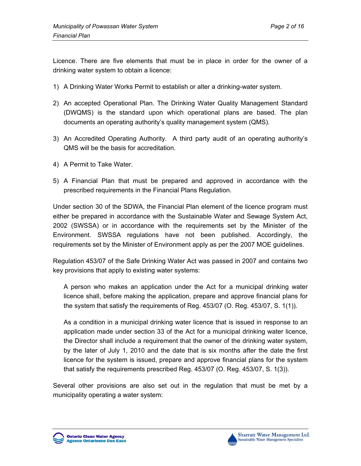Licence. There are five elements that must be in place in order for the owner of a drinking water system to obtain a licence:

- 1) A Drinking Water Works Permit to establish or alter a drinking-water system.
- 2) An accepted Operational Plan. The Drinking Water Quality Management Standard (DWQMS) is the standard upon which operational plans are based. The plan documents an operating authority's quality management system (QMS).
- 3) An Accredited Operating Authority. A third party audit of an operating authority's QMS will be the basis for accreditation.
- 4) A Permit to Take Water.
- 5) A Financial Plan that must be prepared and approved in accordance with the prescribed requirements in the Financial Plans Regulation.

Under section 30 of the SDWA, the Financial Plan element of the licence program must either be prepared in accordance with the Sustainable Water and Sewage System Act, 2002 (SWSSA) or in accordance with the requirements set by the Minister of the Environment. SWSSA regulations have not been published. Accordingly, the requirements set by the Minister of Environment apply as per the 2007 MOE guidelines.

Regulation 453/07 of the Safe Drinking Water Act was passed in 2007 and contains two key provisions that apply to existing water systems:

A person who makes an application under the Act for a municipal drinking water licence shall, before making the application, prepare and approve financial plans for the system that satisfy the requirements of Reg. 453/07 (O. Reg. 453/07, S. 1(1)).

As a condition in a municipal drinking water licence that is issued in response to an application made under section 33 of the Act for a municipal drinking water licence, the Director shall include a requirement that the owner of the drinking water system, by the later of July 1, 2010 and the date that is six months after the date the first licence for the system is issued, prepare and approve financial plans for the system that satisfy the requirements prescribed Reg. 453/07 (O. Reg. 453/07, S. 1(3)).

Several other provisions are also set out in the regulation that must be met by a municipality operating a water system:



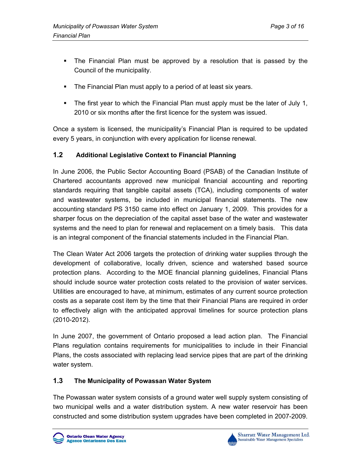- The Financial Plan must be approved by a resolution that is passed by the Council of the municipality.
- **The Financial Plan must apply to a period of at least six years.**
- The first year to which the Financial Plan must apply must be the later of July 1, 2010 or six months after the first licence for the system was issued.

Once a system is licensed, the municipality's Financial Plan is required to be updated every 5 years, in conjunction with every application for license renewal.

### **1.2 Additional Legislative Context to Financial Planning**

In June 2006, the Public Sector Accounting Board (PSAB) of the Canadian Institute of Chartered accountants approved new municipal financial accounting and reporting standards requiring that tangible capital assets (TCA), including components of water and wastewater systems, be included in municipal financial statements. The new accounting standard PS 3150 came into effect on January 1, 2009. This provides for a sharper focus on the depreciation of the capital asset base of the water and wastewater systems and the need to plan for renewal and replacement on a timely basis. This data is an integral component of the financial statements included in the Financial Plan.

The Clean Water Act 2006 targets the protection of drinking water supplies through the development of collaborative, locally driven, science and watershed based source protection plans. According to the MOE financial planning guidelines, Financial Plans should include source water protection costs related to the provision of water services. Utilities are encouraged to have, at minimum, estimates of any current source protection costs as a separate cost item by the time that their Financial Plans are required in order to effectively align with the anticipated approval timelines for source protection plans (2010-2012).

In June 2007, the government of Ontario proposed a lead action plan. The Financial Plans regulation contains requirements for municipalities to include in their Financial Plans, the costs associated with replacing lead service pipes that are part of the drinking water system.

### **1.3 The Municipality of Powassan Water System**

The Powassan water system consists of a ground water well supply system consisting of two municipal wells and a water distribution system. A new water reservoir has been constructed and some distribution system upgrades have been completed in 2007-2009.



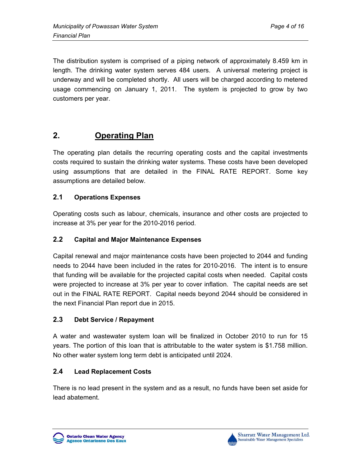The distribution system is comprised of a piping network of approximately 8.459 km in length. The drinking water system serves 484 users. A universal metering project is underway and will be completed shortly. All users will be charged according to metered usage commencing on January 1, 2011. The system is projected to grow by two customers per year.

## **2. Operating Plan**

The operating plan details the recurring operating costs and the capital investments costs required to sustain the drinking water systems. These costs have been developed using assumptions that are detailed in the FINAL RATE REPORT. Some key assumptions are detailed below.

### **2.1 Operations Expenses**

Operating costs such as labour, chemicals, insurance and other costs are projected to increase at 3% per year for the 2010-2016 period.

## **2.2 Capital and Major Maintenance Expenses**

Capital renewal and major maintenance costs have been projected to 2044 and funding needs to 2044 have been included in the rates for 2010-2016. The intent is to ensure that funding will be available for the projected capital costs when needed. Capital costs were projected to increase at 3% per year to cover inflation. The capital needs are set out in the FINAL RATE REPORT. Capital needs beyond 2044 should be considered in the next Financial Plan report due in 2015.

## **2.3 Debt Service / Repayment**

A water and wastewater system loan will be finalized in October 2010 to run for 15 years. The portion of this loan that is attributable to the water system is \$1.758 million. No other water system long term debt is anticipated until 2024.

### **2.4 Lead Replacement Costs**

There is no lead present in the system and as a result, no funds have been set aside for lead abatement.



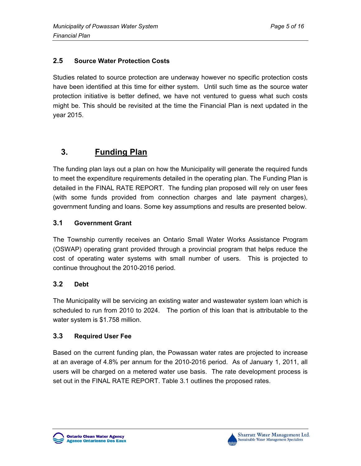## **2.5 Source Water Protection Costs**

Studies related to source protection are underway however no specific protection costs have been identified at this time for either system. Until such time as the source water protection initiative is better defined, we have not ventured to guess what such costs might be. This should be revisited at the time the Financial Plan is next updated in the year 2015.

## **3. Funding Plan**

The funding plan lays out a plan on how the Municipality will generate the required funds to meet the expenditure requirements detailed in the operating plan. The Funding Plan is detailed in the FINAL RATE REPORT. The funding plan proposed will rely on user fees (with some funds provided from connection charges and late payment charges), government funding and loans. Some key assumptions and results are presented below.

## **3.1 Government Grant**

The Township currently receives an Ontario Small Water Works Assistance Program (OSWAP) operating grant provided through a provincial program that helps reduce the cost of operating water systems with small number of users. This is projected to continue throughout the 2010-2016 period.

## **3.2 Debt**

The Municipality will be servicing an existing water and wastewater system loan which is scheduled to run from 2010 to 2024. The portion of this loan that is attributable to the water system is \$1.758 million.

## **3.3 Required User Fee**

Based on the current funding plan, the Powassan water rates are projected to increase at an average of 4.8% per annum for the 2010-2016 period. As of January 1, 2011, all users will be charged on a metered water use basis. The rate development process is set out in the FINAL RATE REPORT. Table 3.1 outlines the proposed rates.



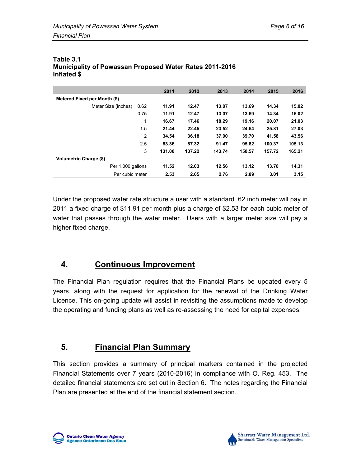|                               |      | 2011   | 2012   | 2013   | 2014   | 2015   | 2016   |
|-------------------------------|------|--------|--------|--------|--------|--------|--------|
| Metered Fixed per Month (\$)  |      |        |        |        |        |        |        |
| Meter Size (inches)           | 0.62 | 11.91  | 12.47  | 13.07  | 13.69  | 14.34  | 15.02  |
|                               | 0.75 | 11.91  | 12.47  | 13.07  | 13.69  | 14.34  | 15.02  |
|                               | 1    | 16.67  | 17.46  | 18.29  | 19.16  | 20.07  | 21.03  |
|                               | 1.5  | 21.44  | 22.45  | 23.52  | 24.64  | 25.81  | 27.03  |
|                               | 2    | 34.54  | 36.18  | 37.90  | 39.70  | 41.58  | 43.56  |
|                               | 2.5  | 83.36  | 87.32  | 91.47  | 95.82  | 100.37 | 105.13 |
|                               | 3    | 131.00 | 137.22 | 143.74 | 150.57 | 157.72 | 165.21 |
| <b>Volumetric Charge (\$)</b> |      |        |        |        |        |        |        |
| Per 1,000 gallons             |      | 11.52  | 12.03  | 12.56  | 13.12  | 13.70  | 14.31  |
| Per cubic meter               |      | 2.53   | 2.65   | 2.76   | 2.89   | 3.01   | 3.15   |

#### **Table 3.1 Municipality of Powassan Proposed Water Rates 2011-2016 Inflated \$**

Under the proposed water rate structure a user with a standard .62 inch meter will pay in 2011 a fixed charge of \$11.91 per month plus a charge of \$2.53 for each cubic meter of water that passes through the water meter. Users with a larger meter size will pay a higher fixed charge.

# **4. Continuous Improvement**

The Financial Plan regulation requires that the Financial Plans be updated every 5 years, along with the request for application for the renewal of the Drinking Water Licence. This on-going update will assist in revisiting the assumptions made to develop the operating and funding plans as well as re-assessing the need for capital expenses.

# **5. Financial Plan Summary**

This section provides a summary of principal markers contained in the projected Financial Statements over 7 years (2010-2016) in compliance with O. Reg. 453. The detailed financial statements are set out in Section 6. The notes regarding the Financial Plan are presented at the end of the financial statement section.



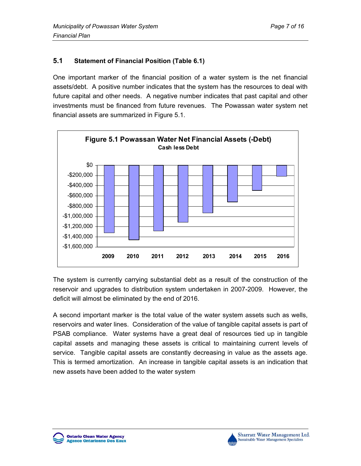## **5.1 Statement of Financial Position (Table 6.1)**

One important marker of the financial position of a water system is the net financial assets/debt. A positive number indicates that the system has the resources to deal with future capital and other needs. A negative number indicates that past capital and other investments must be financed from future revenues. The Powassan water system net financial assets are summarized in Figure 5.1.



The system is currently carrying substantial debt as a result of the construction of the reservoir and upgrades to distribution system undertaken in 2007-2009. However, the deficit will almost be eliminated by the end of 2016.

A second important marker is the total value of the water system assets such as wells, reservoirs and water lines. Consideration of the value of tangible capital assets is part of PSAB compliance. Water systems have a great deal of resources tied up in tangible capital assets and managing these assets is critical to maintaining current levels of service. Tangible capital assets are constantly decreasing in value as the assets age. This is termed amortization. An increase in tangible capital assets is an indication that new assets have been added to the water system



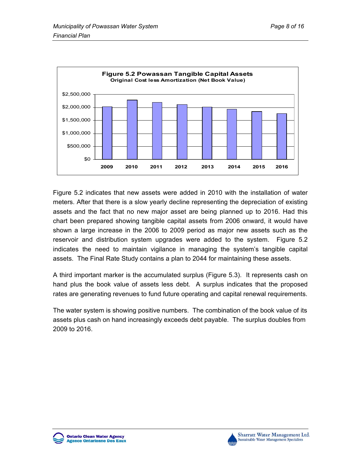

Figure 5.2 indicates that new assets were added in 2010 with the installation of water meters. After that there is a slow yearly decline representing the depreciation of existing assets and the fact that no new major asset are being planned up to 2016. Had this chart been prepared showing tangible capital assets from 2006 onward, it would have shown a large increase in the 2006 to 2009 period as major new assets such as the reservoir and distribution system upgrades were added to the system. Figure 5.2 indicates the need to maintain vigilance in managing the system's tangible capital assets. The Final Rate Study contains a plan to 2044 for maintaining these assets.

A third important marker is the accumulated surplus (Figure 5.3). It represents cash on hand plus the book value of assets less debt. A surplus indicates that the proposed rates are generating revenues to fund future operating and capital renewal requirements.

The water system is showing positive numbers. The combination of the book value of its assets plus cash on hand increasingly exceeds debt payable. The surplus doubles from 2009 to 2016.

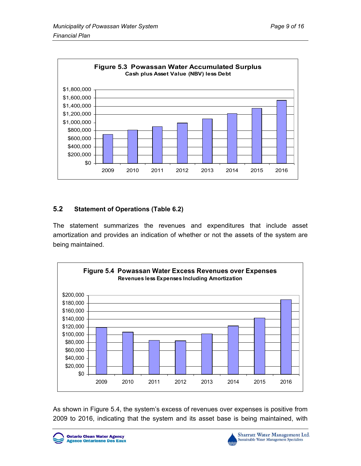

### **5.2 Statement of Operations (Table 6.2)**

The statement summarizes the revenues and expenditures that include asset amortization and provides an indication of whether or not the assets of the system are being maintained.



As shown in Figure 5.4, the system's excess of revenues over expenses is positive from 2009 to 2016, indicating that the system and its asset base is being maintained, with





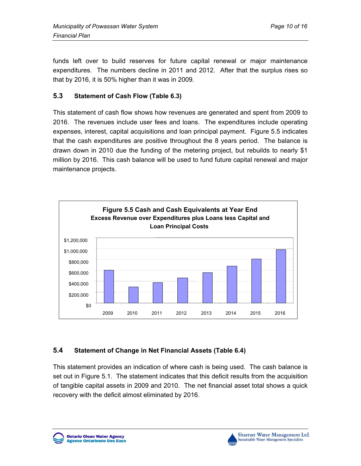funds left over to build reserves for future capital renewal or major maintenance expenditures. The numbers decline in 2011 and 2012. After that the surplus rises so that by 2016, it is 50% higher than it was in 2009.

## **5.3 Statement of Cash Flow (Table 6.3)**

This statement of cash flow shows how revenues are generated and spent from 2009 to 2016. The revenues include user fees and loans. The expenditures include operating expenses, interest, capital acquisitions and loan principal payment. Figure 5.5 indicates that the cash expenditures are positive throughout the 8 years period. The balance is drawn down in 2010 due the funding of the metering project, but rebuilds to nearly \$1 million by 2016. This cash balance will be used to fund future capital renewal and major maintenance projects.



### **5.4 Statement of Change in Net Financial Assets (Table 6.4)**

This statement provides an indication of where cash is being used. The cash balance is set out in Figure 5.1. The statement indicates that this deficit results from the acquisition of tangible capital assets in 2009 and 2010. The net financial asset total shows a quick recovery with the deficit almost eliminated by 2016.

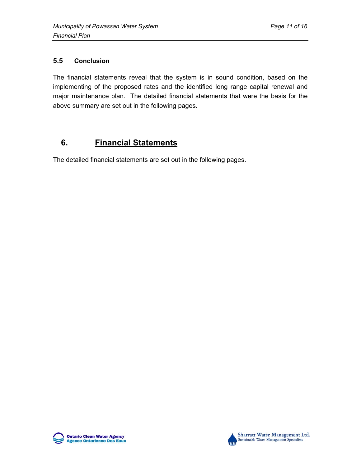## **5.5 Conclusion**

The financial statements reveal that the system is in sound condition, based on the implementing of the proposed rates and the identified long range capital renewal and major maintenance plan. The detailed financial statements that were the basis for the above summary are set out in the following pages.

## **6. Financial Statements**

The detailed financial statements are set out in the following pages.



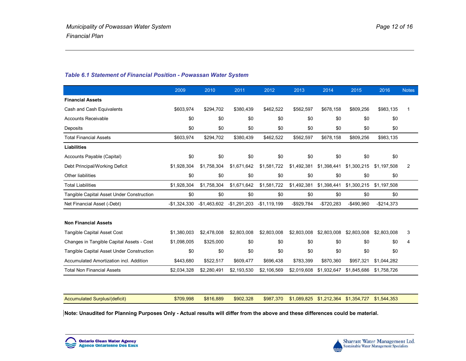#### *Table 6.1 Statement of Financial Position - Powassan Water System*

|                                           | 2009          | 2010          | 2011          | 2012          | 2013        | 2014        | 2015        | 2016        | <b>Notes</b> |
|-------------------------------------------|---------------|---------------|---------------|---------------|-------------|-------------|-------------|-------------|--------------|
| <b>Financial Assets</b>                   |               |               |               |               |             |             |             |             |              |
| Cash and Cash Equivalents                 | \$603,974     | \$294.702     | \$380.439     | \$462,522     | \$562,597   | \$678.158   | \$809,256   | \$983,135   | -1           |
| <b>Accounts Receivable</b>                | \$0           | \$0           | \$0           | \$0           | \$0         | \$0         | \$0         | \$0         |              |
| Deposits                                  | \$0           | \$0           | \$0           | \$0           | \$0         | \$0         | \$0         | \$0         |              |
| <b>Total Financial Assets</b>             | \$603,974     | \$294,702     | \$380,439     | \$462.522     | \$562,597   | \$678.158   | \$809,256   | \$983,135   |              |
| <b>Liabilities</b>                        |               |               |               |               |             |             |             |             |              |
| Accounts Payable (Capital)                | \$0           | \$0           | \$0           | \$0           | \$0         | \$0         | \$0         | \$0         |              |
| Debt Principal/Working Deficit            | \$1,928,304   | \$1,758,304   | \$1,671,642   | \$1,581,722   | \$1,492,381 | \$1,398,441 | \$1,300,215 | \$1,197,508 | 2            |
| Other liabilities                         | \$0           | \$0           | \$0           | \$0           | \$0         | \$0         | \$0         | \$0         |              |
| <b>Total Liabilities</b>                  | \$1,928,304   | \$1,758,304   | \$1,671,642   | \$1,581,722   | \$1,492,381 | \$1,398,441 | \$1,300,215 | \$1,197,508 |              |
| Tangible Capital Asset Under Construction | \$0           | \$0           | \$0           | \$0           | \$0         | \$0         | \$0         | \$0         |              |
| Net Financial Asset (-Debt)               | $-$1,324,330$ | $-$1,463,602$ | $-$1,291,203$ | $-$1,119,199$ | -\$929,784  | $-$720,283$ | $-$490,960$ | $-$214.373$ |              |
| <b>Non Financial Assets</b>               |               |               |               |               |             |             |             |             |              |
| <b>Tangible Capital Asset Cost</b>        | \$1,380,003   | \$2,478,008   | \$2,803,008   | \$2,803,008   | \$2,803,008 | \$2,803,008 | \$2,803,008 | \$2,803,008 | 3            |
| Changes in Tangible Capital Assets - Cost | \$1,098,005   | \$325.000     | \$0           | \$0           | \$0         | \$0         | \$0         | \$0         | 4            |
| Tangible Capital Asset Under Construction | \$0           | \$0           | \$0           | \$0           | \$0         | \$0         | \$0         | \$0         |              |
| Accumulated Amortization incl. Addition   | \$443,680     | \$522,517     | \$609,477     | \$696,438     | \$783,399   | \$870,360   | \$957,321   | \$1,044,282 |              |
| <b>Total Non Financial Assets</b>         | \$2,034,328   | \$2,280,491   | \$2,193,530   | \$2,106,569   | \$2,019,608 | \$1,932,647 | \$1,845,686 | \$1,758,726 |              |
|                                           |               |               |               |               |             |             |             |             |              |
| Accumulated Surplus/(deficit)             | \$709,998     | \$816,889     | \$902,328     | \$987,370     | \$1.089.825 | \$1,212,364 | \$1,354,727 | \$1.544.353 |              |

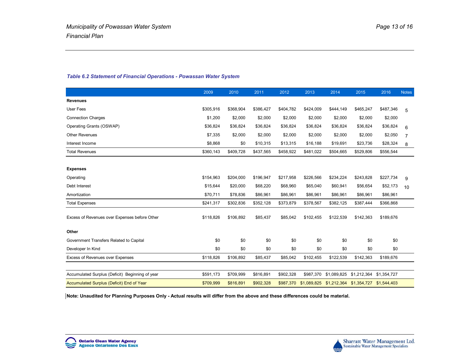|                                                 | 2009      | 2010      | 2011      | 2012      | 2013                              | 2014        | 2015        | 2016                    | <b>Notes</b>   |
|-------------------------------------------------|-----------|-----------|-----------|-----------|-----------------------------------|-------------|-------------|-------------------------|----------------|
| <b>Revenues</b>                                 |           |           |           |           |                                   |             |             |                         |                |
| <b>User Fees</b>                                | \$305,916 | \$368,904 | \$386,427 | \$404,782 | \$424,009                         | \$444,149   | \$465,247   | \$487,346               | 5              |
| <b>Connection Charges</b>                       | \$1,200   | \$2,000   | \$2,000   | \$2,000   | \$2,000                           | \$2,000     | \$2,000     | \$2,000                 |                |
| Operating Grants (OSWAP)                        | \$36,824  | \$36,824  | \$36,824  | \$36,824  | \$36,824                          | \$36,824    | \$36,824    | \$36,824                | 6              |
| <b>Other Revenues</b>                           | \$7,335   | \$2,000   | \$2,000   | \$2,000   | \$2,000                           | \$2,000     | \$2,000     | \$2,050                 | $\overline{7}$ |
| Interest Income                                 | \$8,868   | \$0       | \$10,315  | \$13,315  | \$16,188                          | \$19,691    | \$23,736    | \$28,324                | 8              |
| <b>Total Revenues</b>                           | \$360,143 | \$409,728 | \$437,565 | \$458,922 | \$481,022                         | \$504,665   | \$529,806   | \$556,544               |                |
|                                                 |           |           |           |           |                                   |             |             |                         |                |
| <b>Expenses</b>                                 |           |           |           |           |                                   |             |             |                         |                |
| Operating                                       | \$154,963 | \$204,000 | \$196,947 | \$217,958 | \$226,566                         | \$234,224   | \$243,828   | \$227,734               | 9              |
| Debt Interest                                   | \$15,644  | \$20,000  | \$68,220  | \$68,960  | \$65,040                          | \$60,941    | \$56,654    | \$52,173                | 10             |
| Amortization                                    | \$70,711  | \$78,836  | \$86,961  | \$86,961  | \$86,961                          | \$86,961    | \$86,961    | \$86,961                |                |
| <b>Total Expenses</b>                           | \$241,317 | \$302,836 | \$352,128 | \$373,879 | \$378,567                         | \$382,125   | \$387,444   | \$366,868               |                |
| Excess of Revenues over Expenses before Other   | \$118,826 | \$106,892 | \$85,437  | \$85,042  | \$102,455                         | \$122,539   | \$142,363   | \$189,676               |                |
| Other                                           |           |           |           |           |                                   |             |             |                         |                |
| Government Transfers Related to Capital         | \$0       | \$0       | \$0       | \$0       | \$0                               | \$0         | \$0         | \$0                     |                |
| Developer In Kind                               | \$0       | \$0       | \$0       | \$0       | \$0                               | \$0         | \$0         | \$0                     |                |
| Excess of Revenues over Expenses                | \$118,826 | \$106,892 | \$85,437  | \$85,042  | \$102,455                         | \$122,539   | \$142,363   | \$189,676               |                |
|                                                 |           |           |           |           |                                   |             |             |                         |                |
| Accumulated Surplus (Deficit) Beginning of year | \$591,173 | \$709,999 | \$816,891 | \$902,328 | \$987,370                         | \$1,089,825 |             | \$1,212,364 \$1,354,727 |                |
| Accumulated Surplus (Deficit) End of Year       | \$709.999 | \$816,891 | \$902.328 |           | \$987,370 \$1,089,825 \$1,212,364 |             | \$1,354,727 | \$1,544,403             |                |

#### *Table 6.2 Statement of Financial Operations - Powassan Water System*

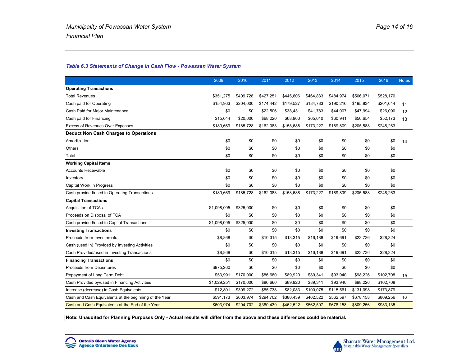#### *Table 6.3 Statements of Change in Cash Flow - Powassan Water System*

|                                                        | 2009        | 2010        | 2011      | 2012      | 2013      | 2014      | 2015      | 2016      | <b>Notes</b> |
|--------------------------------------------------------|-------------|-------------|-----------|-----------|-----------|-----------|-----------|-----------|--------------|
| <b>Operating Transactions</b>                          |             |             |           |           |           |           |           |           |              |
| <b>Total Revenues</b>                                  | \$351.275   | \$409,728   | \$427.251 | \$445.606 | \$464,833 | \$484,974 | \$506,071 | \$528,170 |              |
| Cash paid for Operating                                | \$154,963   | \$204,000   | \$174.442 | \$179.527 | \$184.783 | \$190,216 | \$195.834 | \$201.644 | 11           |
| Cash Paid for Major Maintenance                        | \$0         | \$0         | \$22,506  | \$38,431  | \$41,783  | \$44,007  | \$47,994  | \$26,090  | 12           |
| Cash paid for Financing                                | \$15,644    | \$20,000    | \$68,220  | \$68,960  | \$65,040  | \$60,941  | \$56,654  | \$52,173  | 13           |
| Excess of Revenues Over Expenses                       | \$180,669   | \$185,728   | \$162,083 | \$158,688 | \$173,227 | \$189,809 | \$205,588 | \$248,263 |              |
| <b>Deduct Non Cash Charges to Operations</b>           |             |             |           |           |           |           |           |           |              |
| Amortization                                           | \$0         | \$0         | \$0       | \$0       | \$0       | \$0       | \$0       | \$0       | 14           |
| <b>Others</b>                                          | \$0         | \$0         | \$0       | \$0       | \$0       | \$0       | \$0       | \$0       |              |
| Total                                                  | \$0         | \$0         | \$0       | \$0       | \$0       | \$0       | \$0       | \$0       |              |
| <b>Working Capital Items</b>                           |             |             |           |           |           |           |           |           |              |
| <b>Accounts Receivable</b>                             | \$0         | \$0         | \$0       | \$0       | \$0       | \$0       | \$0       | \$0       |              |
| Inventory                                              | \$0         | \$0         | \$0       | \$0       | \$0       | \$0       | \$0       | \$0       |              |
| Capital Work in Progress                               | \$0         | \$0         | \$0       | \$0       | \$0       | \$0       | \$0       | \$0       |              |
| Cash provided/used in Operating Transactions           | \$180,669   | \$185,728   | \$162,083 | \$158,688 | \$173,227 | \$189,809 | \$205,588 | \$248,263 |              |
| <b>Capital Transactions</b>                            |             |             |           |           |           |           |           |           |              |
| <b>Acquisition of TCAs</b>                             | \$1,098,005 | \$325,000   | \$0       | \$0       | \$0       | \$0       | \$0       | \$0       |              |
| Proceeds on Disposal of TCA                            | \$0         | \$0         | \$0       | \$0       | \$0       | \$0       | \$0       | \$0       |              |
| Cash provided/used in Capital Transactions             | \$1,098,005 | \$325,000   | \$0       | \$0       | \$0       | \$0       | \$0       | \$0       |              |
| <b>Investing Transactions</b>                          | \$0         | \$0         | \$0       | \$0       | \$0       | \$0       | \$0       | \$0       |              |
| Proceeds from Investments                              | \$8,868     | \$0         | \$10,315  | \$13,315  | \$16,188  | \$19,691  | \$23,736  | \$28,324  |              |
| Cash (used in) Provided by Investing Activities        | \$0         | \$0         | \$0       | \$0       | \$0       | \$0       | \$0       | \$0       |              |
| Cash Provided/used in Investing Transactions           | \$8.868     | \$0         | \$10,315  | \$13,315  | \$16,188  | \$19,691  | \$23,736  | \$28,324  |              |
| <b>Financing Transactions</b>                          | \$0         | \$0         | \$0       | \$0       | \$0       | \$0       | \$0       | \$0       |              |
| Proceeds from Debentures                               | \$975,260   | \$0         | \$0       | \$0       | \$0       | \$0       | \$0       | \$0       |              |
| Repayment of Long Term Debt                            | \$53,991    | \$170,000   | \$86,660  | \$89,920  | \$89,341  | \$93,940  | \$98,226  | \$102,708 | 15           |
| Cash Provided by/used in Financing Activities          | \$1,029,251 | \$170,000   | \$86,660  | \$89,920  | \$89,341  | \$93,940  | \$98,226  | \$102,708 |              |
| Increase (decrease) in Cash Equivalents                | \$12,801    | $-$309,272$ | \$85,738  | \$82,083  | \$100,075 | \$115,561 | \$131,098 | \$173,879 |              |
| Cash and Cash Equivalents at the beginning of the Year | \$591,173   | \$603,974   | \$294,702 | \$380,439 | \$462,522 | \$562,597 | \$678,158 | \$809,256 | 16           |
| Cash and Cash Equivalents at the End of the Year       | \$603.974   | \$294.702   | \$380.439 | \$462.522 | \$562.597 | \$678.158 | \$809.256 | \$983,135 |              |

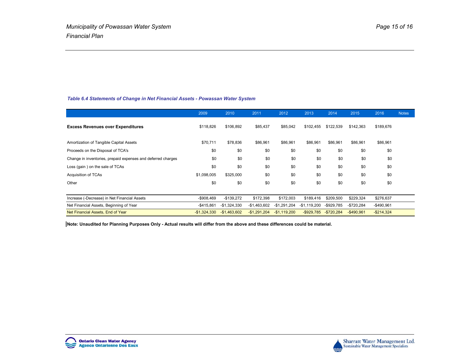#### *Table 6.4 Statements of Change in Net Financial Assets - Powassan Water System*

|                                                              | 2009          | 2010          | 2011          | 2012          | 2013          | 2014          | 2015          | 2016          | <b>Notes</b> |
|--------------------------------------------------------------|---------------|---------------|---------------|---------------|---------------|---------------|---------------|---------------|--------------|
| <b>Excess Revenues over Expenditures</b>                     | \$118,826     | \$106,892     | \$85,437      | \$85,042      | \$102,455     | \$122,539     | \$142,363     | \$189,676     |              |
| Amortization of Tangible Capital Assets                      | \$70,711      | \$78,836      | \$86,961      | \$86,961      | \$86,961      | \$86,961      | \$86,961      | \$86,961      |              |
| Proceeds on the Disposal of TCA's                            | \$0           | \$0           | \$0           | \$0           | \$0           | \$0           | \$0           | \$0           |              |
| Change in inventories, prepaid expenses and deferred charges | \$0           | \$0           | \$0           | \$0           | \$0           | \$0           | \$0           | \$0           |              |
| Loss (gain) on the sale of TCAs                              | \$0           | \$0           | \$0           | \$0           | \$0           | \$0           | \$0           | \$0           |              |
| Acquisition of TCAs                                          | \$1,098,005   | \$325,000     | \$0           | \$0           | \$0           | \$0           | \$0           | \$0           |              |
| Other                                                        | \$0           | \$0           | \$0           | \$0           | \$0           | \$0           | \$0           | \$0           |              |
|                                                              |               |               |               |               |               |               |               |               |              |
| Increase (-Decrease) in Net Financial Assets                 | $-$908,469$   | $-$139,272$   | \$172,398     | \$172,003     | \$189,416     | \$209,500     | \$229,324     | \$276,637     |              |
| Net Financial Assets, Beginning of Year                      | $-$ \$415,861 | $-$1,324,330$ | -\$1,463,602  | $-$1,291,204$ | $-$1,119,200$ | $-$ \$929,785 | $-$720,284$   | $-$490,961$   |              |
| Net Financial Assets, End of Year                            | $-$1,324,330$ | $-$1,463,602$ | $-$1,291,204$ | $-$1,119,200$ | $-$ \$929,785 | $-$720,284$   | $-$ \$490.961 | $-$ \$214,324 |              |

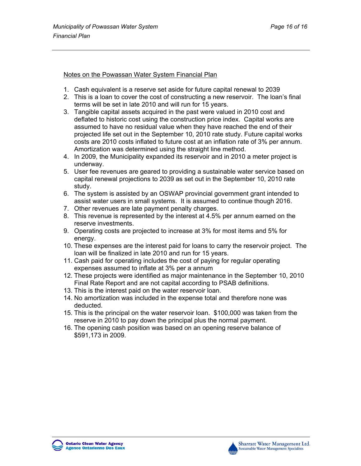#### Notes on the Powassan Water System Financial Plan

- 1. Cash equivalent is a reserve set aside for future capital renewal to 2039
- 2. This is a loan to cover the cost of constructing a new reservoir. The loan's final terms will be set in late 2010 and will run for 15 years.
- 3. Tangible capital assets acquired in the past were valued in 2010 cost and deflated to historic cost using the construction price index. Capital works are assumed to have no residual value when they have reached the end of their projected life set out in the September 10, 2010 rate study. Future capital works costs are 2010 costs inflated to future cost at an inflation rate of 3% per annum. Amortization was determined using the straight line method.
- 4. In 2009, the Municipality expanded its reservoir and in 2010 a meter project is underway.
- 5. User fee revenues are geared to providing a sustainable water service based on capital renewal projections to 2039 as set out in the September 10, 2010 rate study.
- 6. The system is assisted by an OSWAP provincial government grant intended to assist water users in small systems. It is assumed to continue though 2016.
- 7. Other revenues are late payment penalty charges.
- 8. This revenue is represented by the interest at 4.5% per annum earned on the reserve investments.
- 9. Operating costs are projected to increase at 3% for most items and 5% for energy.
- 10. These expenses are the interest paid for loans to carry the reservoir project. The loan will be finalized in late 2010 and run for 15 years.
- 11. Cash paid for operating includes the cost of paying for regular operating expenses assumed to inflate at 3% per a annum
- 12. These projects were identified as major maintenance in the September 10, 2010 Final Rate Report and are not capital according to PSAB definitions.
- 13. This is the interest paid on the water reservoir loan.
- 14. No amortization was included in the expense total and therefore none was deducted.
- 15. This is the principal on the water reservoir loan. \$100,000 was taken from the reserve in 2010 to pay down the principal plus the normal payment.
- 16. The opening cash position was based on an opening reserve balance of \$591,173 in 2009.

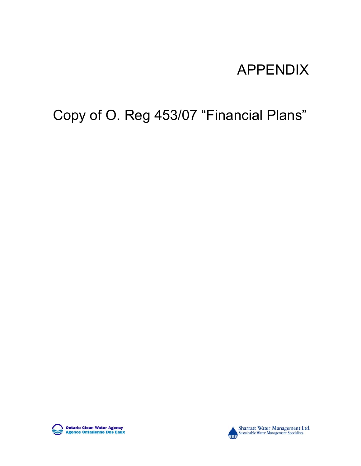# APPENDIX

# Copy of O. Reg 453/07 "Financial Plans"





Sharratt Water Management Ltd. Sustainable Water Management Specialists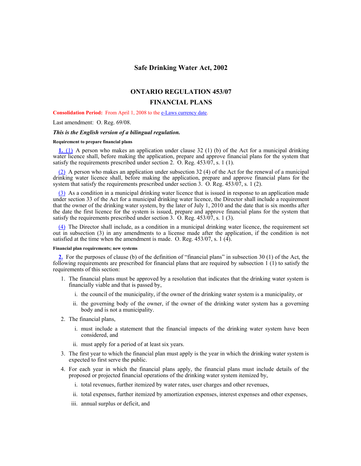#### **Safe Drinking Water Act, 2002**

#### **ONTARIO REGULATION 453/07**

#### **FINANCIAL PLANS**

**Consolidation Period:** From April 1, 2008 to the e-Laws currency date.

Last amendment: O. Reg. 69/08.

#### *This is the English version of a bilingual regulation.*

#### **Requirement to prepare financial plans**

**1.** (1) A person who makes an application under clause 32 (1) (b) of the Act for a municipal drinking water licence shall, before making the application, prepare and approve financial plans for the system that satisfy the requirements prescribed under section 2. O. Reg. 453/07, s. 1 (1).

 $(2)$  A person who makes an application under subsection 32 (4) of the Act for the renewal of a municipal drinking water licence shall, before making the application, prepare and approve financial plans for the system that satisfy the requirements prescribed under section 3. O. Reg. 453/07, s. 1 (2).

(3) As a condition in a municipal drinking water licence that is issued in response to an application made under section 33 of the Act for a municipal drinking water licence, the Director shall include a requirement that the owner of the drinking water system, by the later of July 1, 2010 and the date that is six months after the date the first licence for the system is issued, prepare and approve financial plans for the system that satisfy the requirements prescribed under section  $3.$  O. Reg.  $453/\overline{07}$ , s. 1 (3).

(4) The Director shall include, as a condition in a municipal drinking water licence, the requirement set out in subsection (3) in any amendments to a license made after the application, if the condition is not satisfied at the time when the amendment is made. O. Reg. 453/07, s. 1 (4).

#### **Financial plan requirements; new systems**

**2.** For the purposes of clause (b) of the definition of "financial plans" in subsection 30 (1) of the Act, the following requirements are prescribed for financial plans that are required by subsection 1 (1) to satisfy the requirements of this section:

- 1. The financial plans must be approved by a resolution that indicates that the drinking water system is financially viable and that is passed by,
	- i. the council of the municipality, if the owner of the drinking water system is a municipality, or
	- ii. the governing body of the owner, if the owner of the drinking water system has a governing body and is not a municipality.
- 2. The financial plans,
	- i. must include a statement that the financial impacts of the drinking water system have been considered, and
	- ii. must apply for a period of at least six years.
- 3. The first year to which the financial plan must apply is the year in which the drinking water system is expected to first serve the public.
- 4. For each year in which the financial plans apply, the financial plans must include details of the proposed or projected financial operations of the drinking water system itemized by,
	- i. total revenues, further itemized by water rates, user charges and other revenues,
	- ii. total expenses, further itemized by amortization expenses, interest expenses and other expenses,
	- iii. annual surplus or deficit, and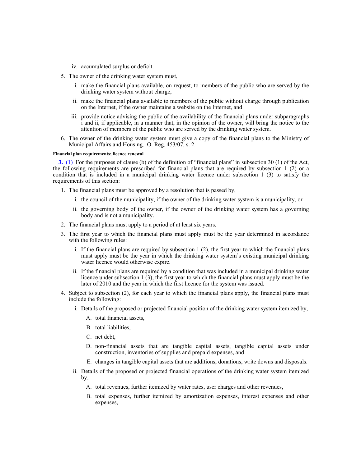- iv. accumulated surplus or deficit.
- 5. The owner of the drinking water system must,
	- i. make the financial plans available, on request, to members of the public who are served by the drinking water system without charge,
	- ii. make the financial plans available to members of the public without charge through publication on the Internet, if the owner maintains a website on the Internet, and
	- iii. provide notice advising the public of the availability of the financial plans under subparagraphs i and ii, if applicable, in a manner that, in the opinion of the owner, will bring the notice to the attention of members of the public who are served by the drinking water system.
- 6. The owner of the drinking water system must give a copy of the financial plans to the Ministry of Municipal Affairs and Housing. O. Reg. 453/07, s. 2.

#### **Financial plan requirements; licence renewal**

**3.** (1) For the purposes of clause (b) of the definition of "financial plans" in subsection 30 (1) of the Act, the following requirements are prescribed for financial plans that are required by subsection 1 (2) or a condition that is included in a municipal drinking water licence under subsection 1 (3) to satisfy the requirements of this section:

- 1. The financial plans must be approved by a resolution that is passed by,
	- i. the council of the municipality, if the owner of the drinking water system is a municipality, or
	- ii. the governing body of the owner, if the owner of the drinking water system has a governing body and is not a municipality.
- 2. The financial plans must apply to a period of at least six years.
- 3. The first year to which the financial plans must apply must be the year determined in accordance with the following rules:
	- i. If the financial plans are required by subsection 1 (2), the first year to which the financial plans must apply must be the year in which the drinking water system's existing municipal drinking water licence would otherwise expire.
	- ii. If the financial plans are required by a condition that was included in a municipal drinking water licence under subsection 1 (3), the first year to which the financial plans must apply must be the later of 2010 and the year in which the first licence for the system was issued.
- 4. Subject to subsection (2), for each year to which the financial plans apply, the financial plans must include the following:
	- i. Details of the proposed or projected financial position of the drinking water system itemized by,
		- A. total financial assets,
		- B. total liabilities,
		- C. net debt,
		- D. non-financial assets that are tangible capital assets, tangible capital assets under construction, inventories of supplies and prepaid expenses, and
		- E. changes in tangible capital assets that are additions, donations, write downs and disposals.
	- ii. Details of the proposed or projected financial operations of the drinking water system itemized by,
		- A. total revenues, further itemized by water rates, user charges and other revenues,
		- B. total expenses, further itemized by amortization expenses, interest expenses and other expenses,